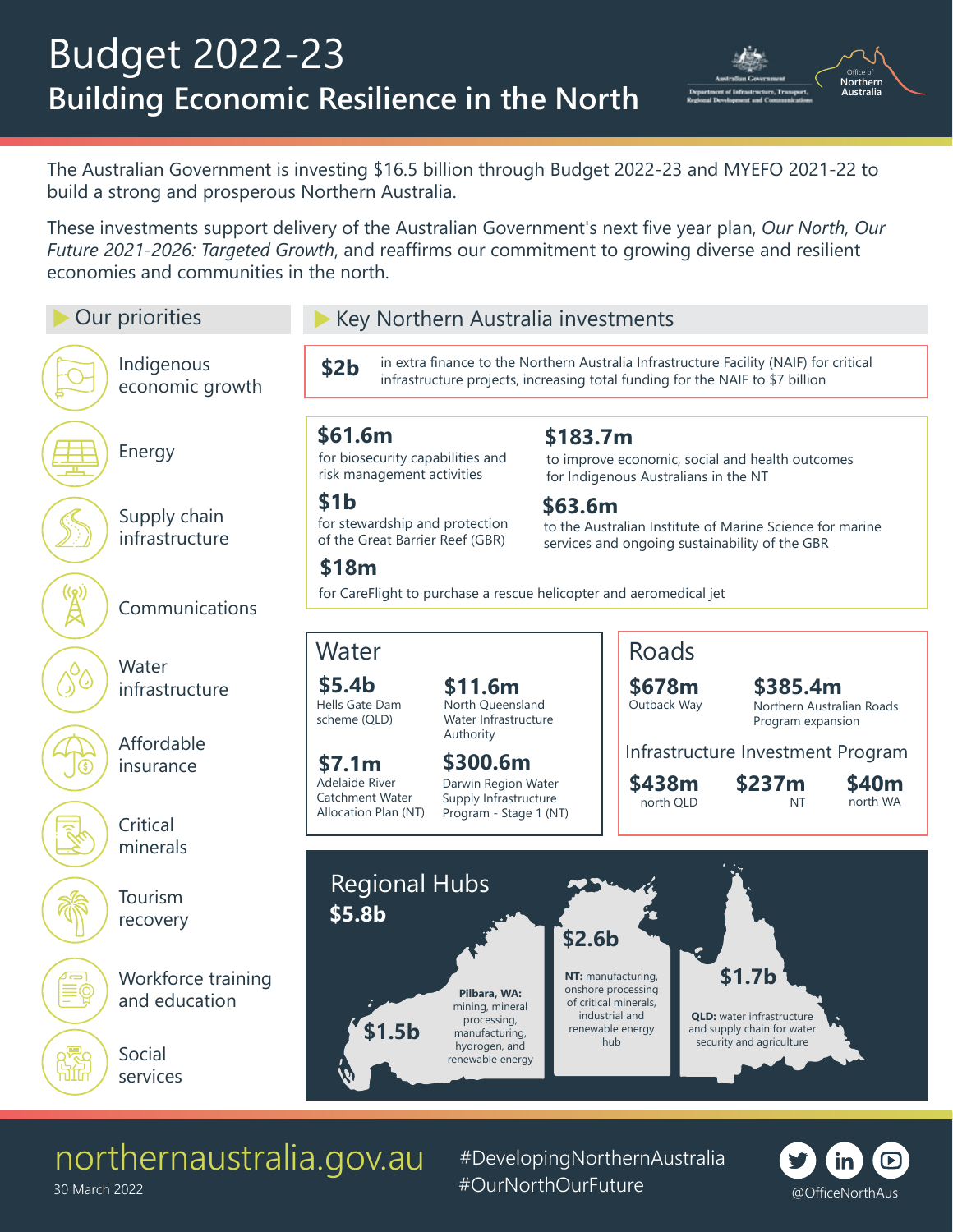

The Australian Government is investing \$16.5 billion through Budget 2022-23 and MYEFO 2021-22 to build a strong and prosperous Northern Australia.

These investments support delivery of the Australian Government's next five year plan, *Our North, Our Future 2021-2026: Targeted Growth*, and reaffirms our commitment to growing diverse and resilient economies and communities in the north.



## northernaustralia.gov.au

#DevelopingNorthernAustralia #OurNorthOurFuture @OfficeNorthAus



30 March 2022